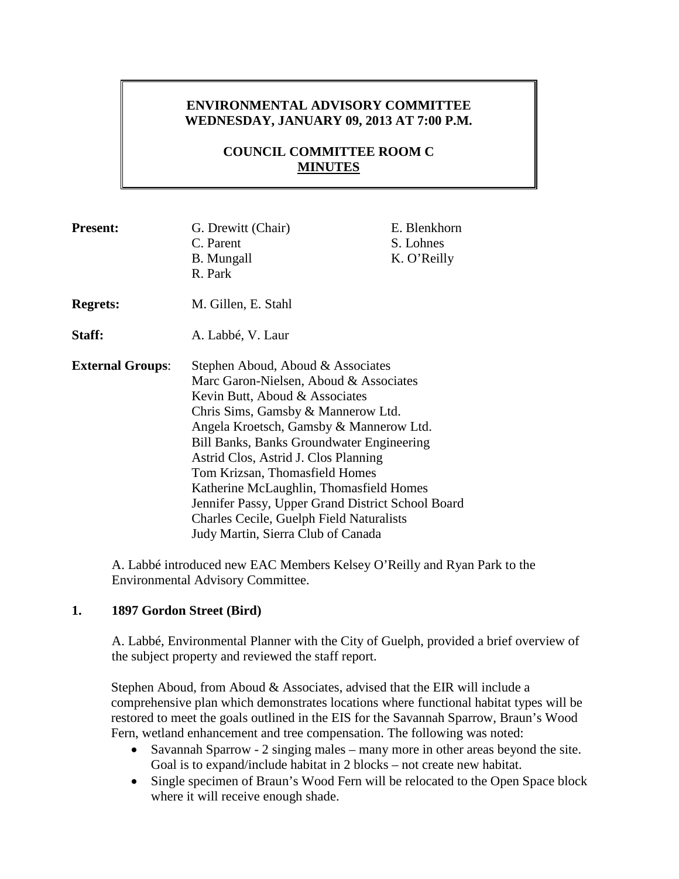# **ENVIRONMENTAL ADVISORY COMMITTEE WEDNESDAY, JANUARY 09, 2013 AT 7:00 P.M.**

# **COUNCIL COMMITTEE ROOM C MINUTES**

| <b>Present:</b>         | G. Drewitt (Chair)<br>C. Parent<br><b>B.</b> Mungall<br>R. Park                                                                                                                                                                                                                                                                                                                                                                                                                                                | E. Blenkhorn<br>S. Lohnes<br>K. O'Reilly |
|-------------------------|----------------------------------------------------------------------------------------------------------------------------------------------------------------------------------------------------------------------------------------------------------------------------------------------------------------------------------------------------------------------------------------------------------------------------------------------------------------------------------------------------------------|------------------------------------------|
| <b>Regrets:</b>         | M. Gillen, E. Stahl                                                                                                                                                                                                                                                                                                                                                                                                                                                                                            |                                          |
| Staff:                  | A. Labbé, V. Laur                                                                                                                                                                                                                                                                                                                                                                                                                                                                                              |                                          |
| <b>External Groups:</b> | Stephen Aboud, Aboud & Associates<br>Marc Garon-Nielsen, Aboud & Associates<br>Kevin Butt, Aboud & Associates<br>Chris Sims, Gamsby & Mannerow Ltd.<br>Angela Kroetsch, Gamsby & Mannerow Ltd.<br>Bill Banks, Banks Groundwater Engineering<br>Astrid Clos, Astrid J. Clos Planning<br>Tom Krizsan, Thomasfield Homes<br>Katherine McLaughlin, Thomasfield Homes<br>Jennifer Passy, Upper Grand District School Board<br><b>Charles Cecile, Guelph Field Naturalists</b><br>Judy Martin, Sierra Club of Canada |                                          |

A. Labbé introduced new EAC Members Kelsey O'Reilly and Ryan Park to the Environmental Advisory Committee.

## **1. 1897 Gordon Street (Bird)**

A. Labbé, Environmental Planner with the City of Guelph, provided a brief overview of the subject property and reviewed the staff report.

Stephen Aboud, from Aboud & Associates, advised that the EIR will include a comprehensive plan which demonstrates locations where functional habitat types will be restored to meet the goals outlined in the EIS for the Savannah Sparrow, Braun's Wood Fern, wetland enhancement and tree compensation. The following was noted:

- Savannah Sparrow 2 singing males many more in other areas beyond the site. Goal is to expand/include habitat in 2 blocks – not create new habitat.
- Single specimen of Braun's Wood Fern will be relocated to the Open Space block where it will receive enough shade.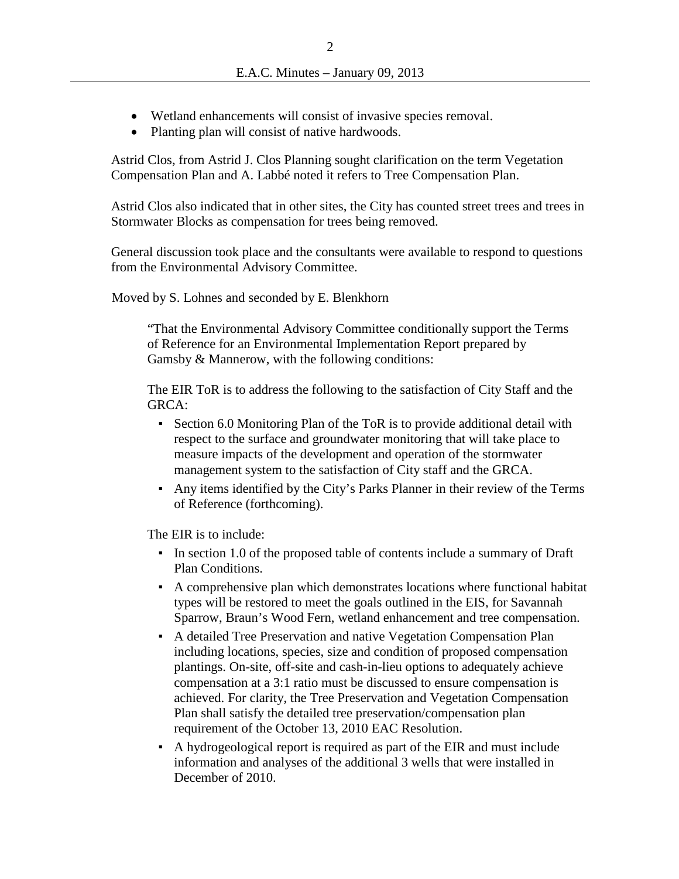- Wetland enhancements will consist of invasive species removal.
- Planting plan will consist of native hardwoods.

Astrid Clos, from Astrid J. Clos Planning sought clarification on the term Vegetation Compensation Plan and A. Labbé noted it refers to Tree Compensation Plan.

Astrid Clos also indicated that in other sites, the City has counted street trees and trees in Stormwater Blocks as compensation for trees being removed.

General discussion took place and the consultants were available to respond to questions from the Environmental Advisory Committee.

Moved by S. Lohnes and seconded by E. Blenkhorn

"That the Environmental Advisory Committee conditionally support the Terms of Reference for an Environmental Implementation Report prepared by Gamsby & Mannerow, with the following conditions:

The EIR ToR is to address the following to the satisfaction of City Staff and the GRCA:

- Section 6.0 Monitoring Plan of the ToR is to provide additional detail with respect to the surface and groundwater monitoring that will take place to measure impacts of the development and operation of the stormwater management system to the satisfaction of City staff and the GRCA.
- Any items identified by the City's Parks Planner in their review of the Terms of Reference (forthcoming).

The EIR is to include:

- In section 1.0 of the proposed table of contents include a summary of Draft Plan Conditions.
- A comprehensive plan which demonstrates locations where functional habitat types will be restored to meet the goals outlined in the EIS, for Savannah Sparrow, Braun's Wood Fern, wetland enhancement and tree compensation.
- A detailed Tree Preservation and native Vegetation Compensation Plan including locations, species, size and condition of proposed compensation plantings. On-site, off-site and cash-in-lieu options to adequately achieve compensation at a 3:1 ratio must be discussed to ensure compensation is achieved. For clarity, the Tree Preservation and Vegetation Compensation Plan shall satisfy the detailed tree preservation/compensation plan requirement of the October 13, 2010 EAC Resolution.
- A hydrogeological report is required as part of the EIR and must include information and analyses of the additional 3 wells that were installed in December of 2010.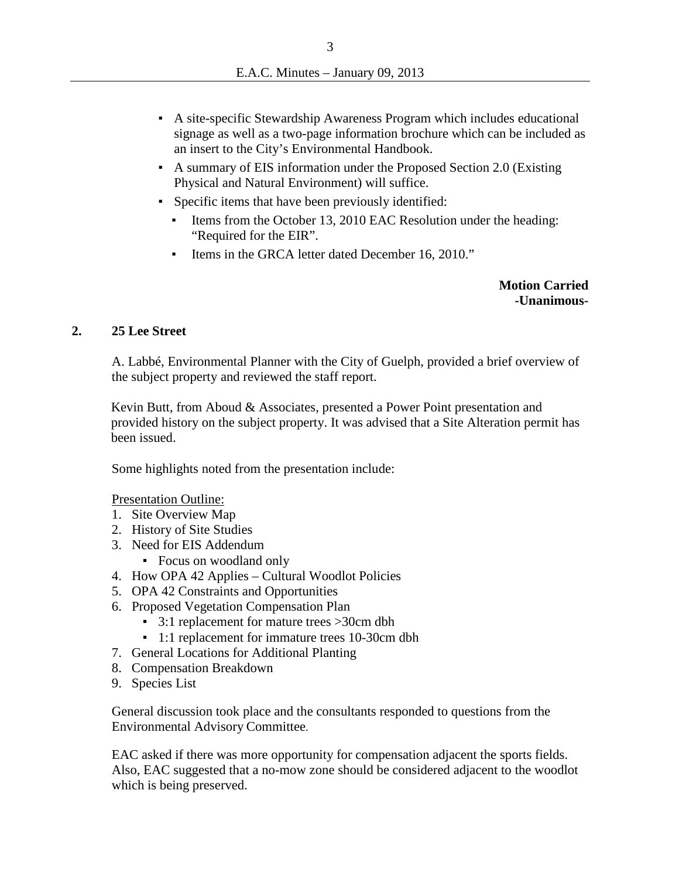- A site-specific Stewardship Awareness Program which includes educational signage as well as a two-page information brochure which can be included as an insert to the City's Environmental Handbook.
- A summary of EIS information under the Proposed Section 2.0 (Existing Physical and Natural Environment) will suffice.
- Specific items that have been previously identified:
	- Items from the October 13, 2010 EAC Resolution under the heading: "Required for the EIR".
	- Items in the GRCA letter dated December 16, 2010."

**Motion Carried -Unanimous-**

### **2. 25 Lee Street**

A. Labbé, Environmental Planner with the City of Guelph, provided a brief overview of the subject property and reviewed the staff report.

Kevin Butt, from Aboud & Associates, presented a Power Point presentation and provided history on the subject property. It was advised that a Site Alteration permit has been issued.

Some highlights noted from the presentation include:

Presentation Outline:

- 1. Site Overview Map
- 2. History of Site Studies
- 3. Need for EIS Addendum
	- Focus on woodland only
- 4. How OPA 42 Applies Cultural Woodlot Policies
- 5. OPA 42 Constraints and Opportunities
- 6. Proposed Vegetation Compensation Plan
	- 3:1 replacement for mature trees >30cm dbh
	- 1:1 replacement for immature trees 10-30cm dbh
- 7. General Locations for Additional Planting
- 8. Compensation Breakdown
- 9. Species List

General discussion took place and the consultants responded to questions from the Environmental Advisory Committee.

EAC asked if there was more opportunity for compensation adjacent the sports fields. Also, EAC suggested that a no-mow zone should be considered adjacent to the woodlot which is being preserved.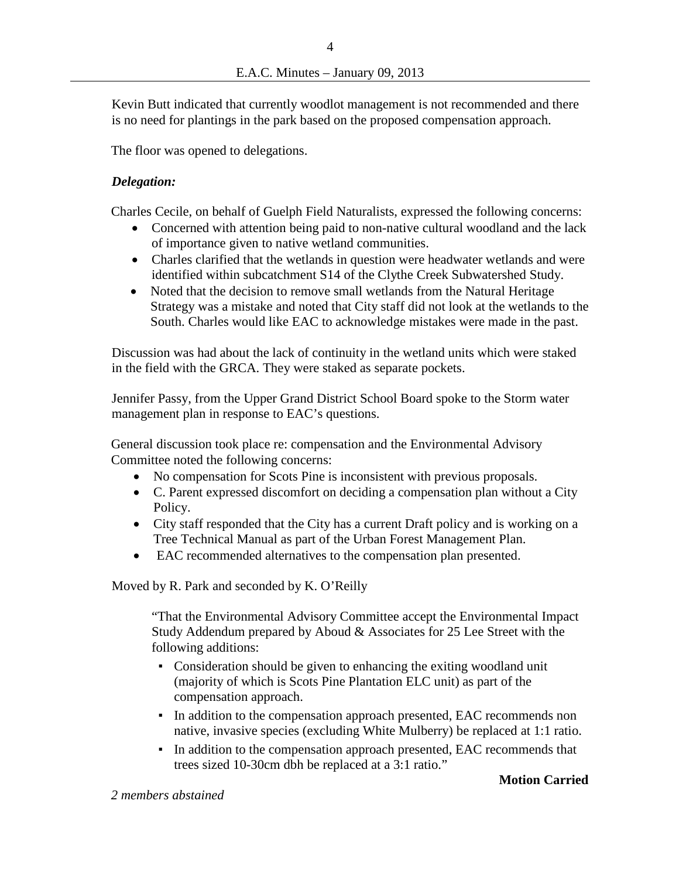Kevin Butt indicated that currently woodlot management is not recommended and there is no need for plantings in the park based on the proposed compensation approach.

The floor was opened to delegations.

#### *Delegation:*

Charles Cecile, on behalf of Guelph Field Naturalists, expressed the following concerns:

- Concerned with attention being paid to non-native cultural woodland and the lack of importance given to native wetland communities.
- Charles clarified that the wetlands in question were headwater wetlands and were identified within subcatchment S14 of the Clythe Creek Subwatershed Study.
- Noted that the decision to remove small wetlands from the Natural Heritage Strategy was a mistake and noted that City staff did not look at the wetlands to the South. Charles would like EAC to acknowledge mistakes were made in the past.

Discussion was had about the lack of continuity in the wetland units which were staked in the field with the GRCA. They were staked as separate pockets.

Jennifer Passy, from the Upper Grand District School Board spoke to the Storm water management plan in response to EAC's questions.

General discussion took place re: compensation and the Environmental Advisory Committee noted the following concerns:

- No compensation for Scots Pine is inconsistent with previous proposals.
- C. Parent expressed discomfort on deciding a compensation plan without a City Policy.
- City staff responded that the City has a current Draft policy and is working on a Tree Technical Manual as part of the Urban Forest Management Plan.
- EAC recommended alternatives to the compensation plan presented.

Moved by R. Park and seconded by K. O'Reilly

"That the Environmental Advisory Committee accept the Environmental Impact Study Addendum prepared by Aboud & Associates for 25 Lee Street with the following additions:

- Consideration should be given to enhancing the exiting woodland unit (majority of which is Scots Pine Plantation ELC unit) as part of the compensation approach.
- In addition to the compensation approach presented, EAC recommends non native, invasive species (excluding White Mulberry) be replaced at 1:1 ratio.
- In addition to the compensation approach presented, EAC recommends that trees sized 10-30cm dbh be replaced at a 3:1 ratio."

#### **Motion Carried**

*2 members abstained*